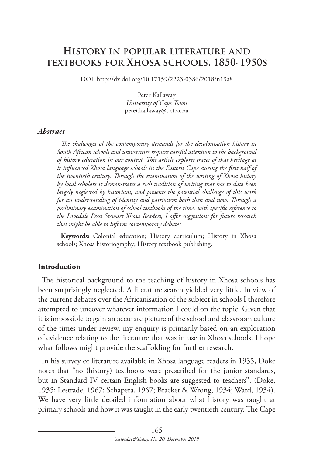# **History in popular literature and textbooks for Xhosa schools, 1850-1950s**

DOI: http://dx.doi.org/10.17159/2223-0386/2018/n19a8

Peter Kallaway *University of Cape Town* peter.kallaway@uct.ac.za

#### *Abstract*

*The challenges of the contemporary demands for the decolonisation history in South African schools and universities require careful attention to the background of history education in our context. This article explores traces of that heritage as it influenced Xhosa language schools in the Eastern Cape during the first half of the twentieth century. Through the examination of the writing of Xhosa history by local scholars it demonstrates a rich tradition of writing that has to date been largely neglected by historians, and presents the potential challenge of this work for an understanding of identity and patriotism both then and now. Through a preliminary examination of school textbooks of the time, with specific reference to the Lovedale Press Stewart Xhosa Readers, I offer suggestions for future research that might be able to inform contemporary debates.*

**Keywords:** Colonial education; History curriculum; History in Xhosa schools; Xhosa historiography; History textbook publishing.

#### **Introduction**

The historical background to the teaching of history in Xhosa schools has been surprisingly neglected. A literature search yielded very little. In view of the current debates over the Africanisation of the subject in schools I therefore attempted to uncover whatever information I could on the topic. Given that it is impossible to gain an accurate picture of the school and classroom culture of the times under review, my enquiry is primarily based on an exploration of evidence relating to the literature that was in use in Xhosa schools. I hope what follows might provide the scaffolding for further research.

In his survey of literature available in Xhosa language readers in 1935, Doke notes that "no (history) textbooks were prescribed for the junior standards, but in Standard IV certain English books are suggested to teachers". (Doke, 1935; Lestrade, 1967; Schapera, 1967; Bracket & Wrong, 1934; Ward, 1934). We have very little detailed information about what history was taught at primary schools and how it was taught in the early twentieth century. The Cape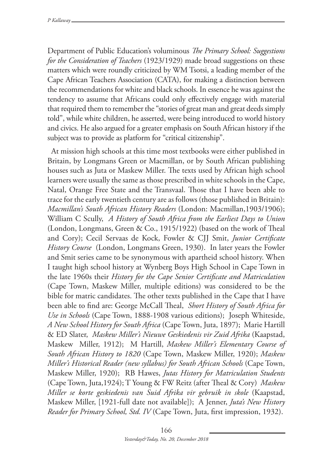Department of Public Education's voluminous *The Primary School: Suggestions for the Consideration of Teachers* (1923/1929) made broad suggestions on these matters which were roundly criticized by WM Tsotsi, a leading member of the Cape African Teachers Association (CATA), for making a distinction between the recommendations for white and black schools. In essence he was against the tendency to assume that Africans could only effectively engage with material that required them to remember the "stories of great man and great deeds simply told", while white children, he asserted, were being introduced to world history and civics. He also argued for a greater emphasis on South African history if the subject was to provide as platform for "critical citizenship".

At mission high schools at this time most textbooks were either published in Britain, by Longmans Green or Macmillan, or by South African publishing houses such as Juta or Maskew Miller. The texts used by African high school learners were usually the same as those prescribed in white schools in the Cape, Natal, Orange Free State and the Transvaal. Those that I have been able to trace for the early twentieth century are as follows (those published in Britain): *Macmillan's South African History Readers* (London: Macmillan,1903/1906); William C Scully, *A History of South Africa from the Earliest Days to Union*  (London, Longmans, Green & Co., 1915/1922) (based on the work of Theal and Cory); Cecil Servaas de Kock, Fowler & CJJ Smit, *Junior Certificate History Course* (London, Longmans Green, 1930). In later years the Fowler and Smit series came to be synonymous with apartheid school history. When I taught high school history at Wynberg Boys High School in Cape Town in the late 1960s their *History for the Cape Senior Certificate and Matriculation*  (Cape Town, Maskew Miller, multiple editions) was considered to be the bible for matric candidates. The other texts published in the Cape that I have been able to find are: George McCall Theal, *Short History of South Africa for Use in Schools* (Cape Town, 1888-1908 various editions); Joseph Whiteside, *A New School History for South Africa* (Cape Town, Juta, 1897); Marie Hartill & ED Slater, *Maskew Miller's Nieuwe Geskiedenis vir Zuid Afrika* (Kaapstad, Maskew Miller, 1912); M Hartill, *Maskew Miller's Elementary Course of South African History to 1820* (Cape Town, Maskew Miller, 1920); *Maskew Miller's Historical Reader (new syllabus) for South African Schools* (Cape Town, Maskew Miller, 1920); RB Hawes, *Jutas History for Matriculation Students* (Cape Town, Juta,1924); T Young & FW Reitz (after Theal & Cory) *Maskew Miller se korte geskiedenis van Suid Afrika vir gebruik in skole* (Kaapstad, Maskew Miller, [1921-full date not available]); A Jenner, *Juta's New History Reader for Primary School, Std. IV* (Cape Town, Juta, first impression, 1932).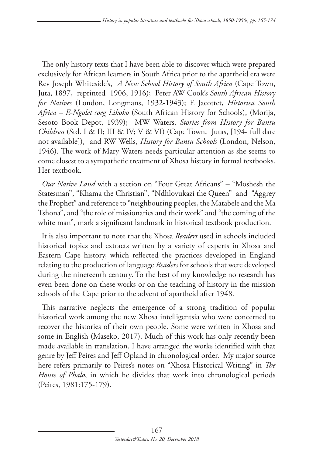The only history texts that I have been able to discover which were prepared exclusively for African learners in South Africa prior to the apartheid era were Rev Joseph Whiteside's, *A New School History of South Africa* (Cape Town, Juta, 1897, reprinted 1906, 1916); Peter AW Cook's *South African History for Natives* (London, Longmans, 1932-1943); E Jacottet, *Historiea South Africa – E-Ngolet soeg Likoko* (South African History for Schools), (Morija, Sesoto Book Depot, 1939); MW Waters, *Stories from History for Bantu Children* (Std. I & II; III & IV; V & VI) (Cape Town, Jutas, [194- full date not available]), and RW Wells, *History for Bantu Schools* (London, Nelson, 1946). The work of Mary Waters needs particular attention as she seems to come closest to a sympathetic treatment of Xhosa history in formal textbooks. Her textbook.

*Our Native Land* with a section on "Four Great Africans" – "Moshesh the Statesman", "Khama the Christian", "Ndhlovukazi the Queen" and "Aggrey the Prophet" and reference to "neighbouring peoples, the Matabele and the Ma Tshona", and "the role of missionaries and their work" and "the coming of the white man", mark a significant landmark in historical textbook production.

It is also important to note that the Xhosa *Readers* used in schools included historical topics and extracts written by a variety of experts in Xhosa and Eastern Cape history, which reflected the practices developed in England relating to the production of language *Readers* for schools that were developed during the nineteenth century. To the best of my knowledge no research has even been done on these works or on the teaching of history in the mission schools of the Cape prior to the advent of apartheid after 1948.

This narrative neglects the emergence of a strong tradition of popular historical work among the new Xhosa intelligentsia who were concerned to recover the histories of their own people. Some were written in Xhosa and some in English (Maseko, 2017). Much of this work has only recently been made available in translation. I have arranged the works identified with that genre by Jeff Peires and Jeff Opland in chronological order. My major source here refers primarily to Peires's notes on "Xhosa Historical Writing" in *The House of Phalo*, in which he divides that work into chronological periods (Peires, 1981:175-179).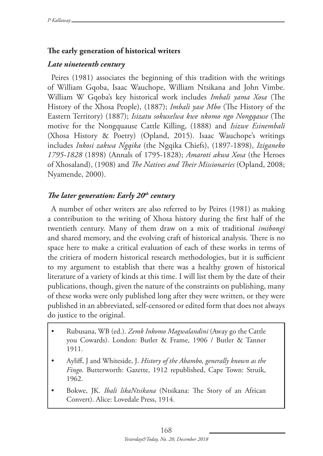## **The early generation of historical writers**

### *Late nineteenth century*

Peires (1981) associates the beginning of this tradition with the writings of William Gqoba, Isaac Wauchope, William Ntsikana and John Vimbe. William W Gqoba's key historical work includes *Imbali yama Xosa* (The History of the Xhosa People), (1887); *Imbali yase Mbo* (The History of the Eastern Territory) (1887); *Isizatu sokuxelwa kwe nkomo ngo Nongqause* (The motive for the Nongquause Cattle Killing, (1888) and *Isizwe Esinembali* (Xhosa History & Poetry) (Opland, 2015). Isaac Wauchope's writings includes *Inkosi zakwa Ngqika* (the Ngqika Chiefs), (1897-1898), *Iziganeko 1795-1828* (1898) (Annals of 1795-1828); *Amaroti akwa Xosa* (the Heroes of Xhosaland), (1908) and *The Natives and Their Missionaries* (Opland, 2008; Nyamende, 2000).

# *The later generation: Early 20th century*

A number of other writers are also referred to by Peires (1981) as making a contribution to the writing of Xhosa history during the first half of the twentieth century. Many of them draw on a mix of traditional *imibongi* and shared memory, and the evolving craft of historical analysis. There is no space here to make a critical evaluation of each of these works in terms of the critiera of modern historical research methodologies, but it is sufficient to my argument to establish that there was a healthy grown of historical literature of a variety of kinds at this time. I will list them by the date of their publications, though, given the nature of the constraints on publishing, many of these works were only published long after they were written, or they were published in an abbreviated, self-censored or edited form that does not always do justice to the original.

- Rubusana, WB (ed.). *Zemk Inkomo Magwalandini* (Away go the Cattle you Cowards). London: Butler & Frame, 1906 / Butler & Tanner 1911.
- Ayliff, J and Whiteside, J. *History of the Abambo, generally known as the Fingo*. Butterworth: Gazette, 1912 republished, Cape Town: Struik, 1962.
- Bokwe, JK. *Ibali likaNtsikana* (Ntsikana: The Story of an African Convert). Alice: Lovedale Press, 1914.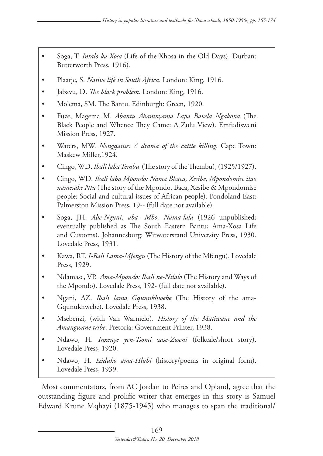- Soga, T. *Intalo ka Xosa* (Life of the Xhosa in the Old Days). Durban: Butterworth Press, 1916).
- Plaatje, S. *Native life in South Africa*. London: King, 1916.
- Jabavu, D. *The black problem*. London: King, 1916.
- Molema, SM. The Bantu. Edinburgh: Green, 1920.
- Fuze, Magema M. *Abantu Abamnyama Lapa Bavela Ngakona* (The Black People and Whence They Came: A Zulu View). Emfudisweni Mission Press, 1927.
- Waters, MW. *Nongqause: A drama of the cattle killing*. Cape Town: Maskew Miller,1924.
- • Cingo, WD. *Ibali laba Tembu* (The story of the Thembu), (1925/1927).
- • Cingo, WD. *Ibali laba Mpondo: Nama Bhaca, Xesibe, Mpondomise itao namesake Ntu* (The story of the Mpondo, Baca, Xesibe & Mpondomise people: Social and cultural issues of African people). Pondoland East: Palmerston Mission Press, 19-- (full date not available).
- • Soga, JH. *Abe-Nguni, aba- Mbo, Nama-lala* (1926 unpublished; eventually published as The South Eastern Bantu; Ama-Xosa Life and Customs). Johannesburg: Witwatersrand University Press, 1930. Lovedale Press, 1931.
- Kawa, RT. *I-Bali Lama-Mfengu* (The History of the Mfengu). Lovedale Press, 1929.
- Ndamase, VP. *Ama-Mpondo: Ibali ne-Ntlalo* (The History and Ways of the Mpondo). Lovedale Press, 192- (full date not available).
- • Ngani, AZ. *Ibali lama Gqunukhwebe* (The History of the ama-Gqunukhwebe). Lovedale Press, 1938.
- Msebenzi, (with Van Warmelo). *History of the Matiwane and the Amangwane tribe*. Pretoria: Government Printer, 1938.
- Ndawo, H. *Inxenye yen-Tsomi zase-Zweni* (folktale/short story). Lovedale Press, 1920.
- Ndawo, H. *Iziduko ama-Hlubi* (history/poems in original form). Lovedale Press, 1939.

Most commentators, from AC Jordan to Peires and Opland, agree that the outstanding figure and prolific writer that emerges in this story is Samuel Edward Krune Mqhayi (1875-1945) who manages to span the traditional/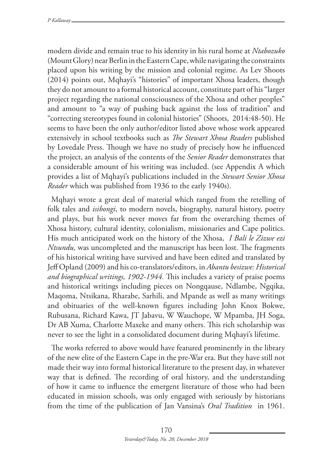modern divide and remain true to his identity in his rural home at *Ntabozuko* (Mount Glory) near Berlin in the Eastern Cape, while navigating the constraints placed upon his writing by the mission and colonial regime. As Lev Shoots (2014) points out, Mqhayi's "histories" of important Xhosa leaders, though they do not amount to a formal historical account, constitute part of his "larger project regarding the national consciousness of the Xhosa and other peoples" and amount to "a way of pushing back against the loss of tradition" and "correcting stereotypes found in colonial histories" (Shoots, 2014:48-50). He seems to have been the only author/editor listed above whose work appeared extensively in school textbooks such as *The Stewart Xhosa Readers* published by Lovedale Press. Though we have no study of precisely how he influenced the project, an analysis of the contents of the *Senior Reader* demonstrates that a considerable amount of his writing was included. (see Appendix A which provides a list of Mqhayi's publications included in the *Stewart Senior Xhosa Reader* which was published from 1936 to the early 1940s).

Mqhayi wrote a great deal of material which ranged from the retelling of folk tales and *isibongi*, to modern novels, biography, natural history, poetry and plays, but his work never moves far from the overarching themes of Xhosa history, cultural identity, colonialism, missionaries and Cape politics. His much anticipated work on the history of the Xhosa, *I Bali le Zizwe ezi Ntsundu,* was uncompleted and the manuscript has been lost. The fragments of his historical writing have survived and have been edited and translated by Jeff Opland (2009) and his co-translators/editors, in *Abantu besizwe: Historical and biographical writings, 1902-1944.* This includes a variety of praise poems and historical writings including pieces on Nongqause, Ndlambe, Ngqika, Maqoma, Ntsikana, Rharabe, Sarhili, and Mpande as well as many writings and obituaries of the well-known figures including John Knox Bokwe, Rubusana, Richard Kawa, JT Jabavu, W Wauchope, W Mpamba, JH Soga, Dr AB Xuma, Charlotte Maxeke and many others. This rich scholarship was never to see the light in a consolidated document during Mqhayi's lifetime.

The works referred to above would have featured prominently in the library of the new elite of the Eastern Cape in the pre-War era. But they have still not made their way into formal historical literature to the present day, in whatever way that is defined. The recording of oral history, and the understanding of how it came to influence the emergent literature of those who had been educated in mission schools, was only engaged with seriously by historians from the time of the publication of Jan Vansina's *Oral Tradition* in 1961.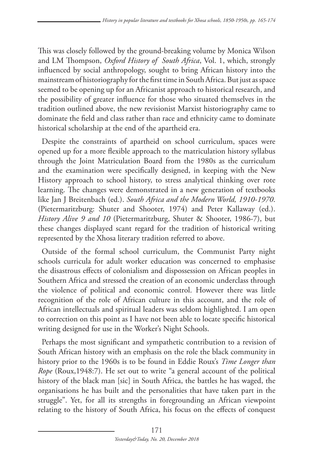This was closely followed by the ground-breaking volume by Monica Wilson and LM Thompson, *Oxford History of South Africa*, Vol. 1, which, strongly influenced by social anthropology, sought to bring African history into the mainstream of historiography for the first time in South Africa. But just as space seemed to be opening up for an Africanist approach to historical research, and the possibility of greater influence for those who situated themselves in the tradition outlined above, the new revisionist Marxist historiography came to dominate the field and class rather than race and ethnicity came to dominate historical scholarship at the end of the apartheid era.

Despite the constraints of apartheid on school curriculum, spaces were opened up for a more flexible approach to the matriculation history syllabus through the Joint Matriculation Board from the 1980s as the curriculum and the examination were specifically designed, in keeping with the New History approach to school history, to stress analytical thinking over rote learning. The changes were demonstrated in a new generation of textbooks like Jan J Breitenbach (ed.). *South Africa and the Modern World, 1910-1970*. (Pietermaritzburg: Shuter and Shooter, 1974) and Peter Kallaway (ed.). *History Alive 9 and 10* (Pietermaritzburg, Shuter & Shooter, 1986-7), but these changes displayed scant regard for the tradition of historical writing represented by the Xhosa literary tradition referred to above.

Outside of the formal school curriculum, the Communist Party night schools curricula for adult worker education was concerned to emphasise the disastrous effects of colonialism and dispossession on African peoples in Southern Africa and stressed the creation of an economic underclass through the violence of political and economic control. However there was little recognition of the role of African culture in this account, and the role of African intellectuals and spiritual leaders was seldom highlighted. I am open to correction on this point as I have not been able to locate specific historical writing designed for use in the Worker's Night Schools.

Perhaps the most significant and sympathetic contribution to a revision of South African history with an emphasis on the role the black community in history prior to the 1960s is to be found in Eddie Roux's *Time Longer than Rope* (Roux,1948:7). He set out to write "a general account of the political history of the black man [sic] in South Africa, the battles he has waged, the organisations he has built and the personalities that have taken part in the struggle". Yet, for all its strengths in foregrounding an African viewpoint relating to the history of South Africa, his focus on the effects of conquest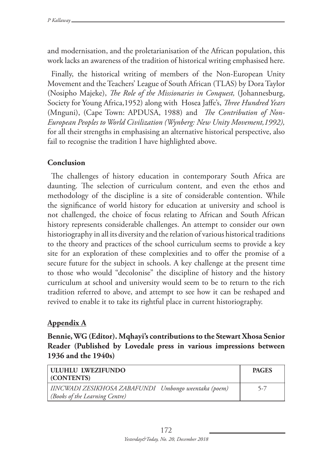and modernisation, and the proletarianisation of the African population, this work lacks an awareness of the tradition of historical writing emphasised here.

Finally, the historical writing of members of the Non-European Unity Movement and the Teachers' League of South African (TLAS) by Dora Taylor (Nosipho Majeke), *The Role of the Missionaries in Conquest,* (Johannesburg, Society for Young Africa,1952) along with Hosea Jaffe's, *Three Hundred Years* (Mnguni), (Cape Town: APDUSA, 1988) and *The Contribution of Non-European Peoples to World Civilization (Wynberg: New Unity Movement,1992),* for all their strengths in emphasising an alternative historical perspective, also fail to recognise the tradition I have highlighted above.

# **Conclusion**

The challenges of history education in contemporary South Africa are daunting. The selection of curriculum content, and even the ethos and methodology of the discipline is a site of considerable contention. While the significance of world history for education at university and school is not challenged, the choice of focus relating to African and South African history represents considerable challenges. An attempt to consider our own historiography in all its diversity and the relation of various historical traditions to the theory and practices of the school curriculum seems to provide a key site for an exploration of these complexities and to offer the promise of a secure future for the subject in schools. A key challenge at the present time to those who would "decolonise" the discipline of history and the history curriculum at school and university would seem to be to return to the rich tradition referred to above, and attempt to see how it can be reshaped and revived to enable it to take its rightful place in current historiography.

# **Appendix A**

**Bennie, WG (Editor). Mqhayi's contributions to the Stewart Xhosa Senior Reader (Published by Lovedale press in various impressions between 1936 and the 1940s)**

| <b>ULUHLU LWEZIFUNDO</b><br>CONTENTS)                                                  | <b>PAGES</b> |
|----------------------------------------------------------------------------------------|--------------|
| IINCWADI ZESIKHOSA ZABAFUNDI Umbongo weentaka (poem)<br>(Books of the Learning Centre) | $5 - 7$      |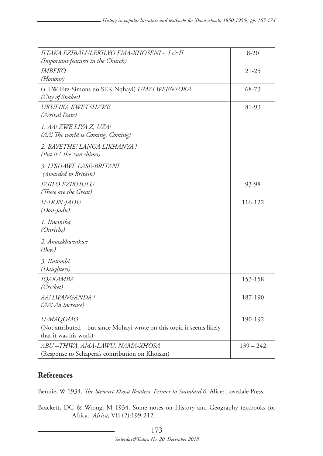| IITAKA EZIBALULEKILYO EMA-XHOSENI - I & II<br>(Important features in the Church)                            | $8 - 20$    |
|-------------------------------------------------------------------------------------------------------------|-------------|
| <i>IMBEKO</i><br>(Honour)                                                                                   | $21 - 25$   |
| (+ FW Fitz-Simons no SEK Nqhayi) UMZI WEENYOKA<br>(City of Snakes)                                          | 68-73       |
| UKUFIKA KWETSHAWE<br>(Arrival Date)                                                                         | 81-93       |
| 1. AA! ZWE LIYA Z, UZA!<br>(AA! The world is Coming, Coming)                                                |             |
| 2. BAYETHE! LANGA LIKHANYA !<br>(Put it! The Sun shines)                                                    |             |
| 3. ITSHAWE LASE-BRITANI<br>(Awarded to Britain)                                                             |             |
| <b>IZIILO EZIKHULU</b><br>(These are the Great)                                                             | 93-98       |
| U-DON-JADU<br>$(Don$ -Jadu)                                                                                 | 116-122     |
| 1. Iinciniba<br>(Ostrichs)                                                                                  |             |
| 2. Amazkhwenkwe<br>(Boys)                                                                                   |             |
| 3. Iintombi<br>(Daughters)                                                                                  |             |
| IQAKAMBA<br>(Cricket)                                                                                       | 153-158     |
| AA! LWANGANDA!<br>(AA! An increase)                                                                         | 187-190     |
| U-MAQOMO<br>(Not attributed - but since Mqhayi wrote on this topic it seems likely<br>that it was his work) | 190-192     |
| ABU-THWA, AMA-LAWU, NAMA-XHOSA<br>(Response to Schapera's contribution on Khoisan)                          | $139 - 242$ |

### **References**

Bennie, W 1934. *The Stewart Xhosa Readers*: *Primer to Standard 6*. Alice: Lovedale Press.

Brackett, DG & Wrong, M 1934. Some notes on History and Geography textbooks for Africa. *Africa,* VII (2):199-212.